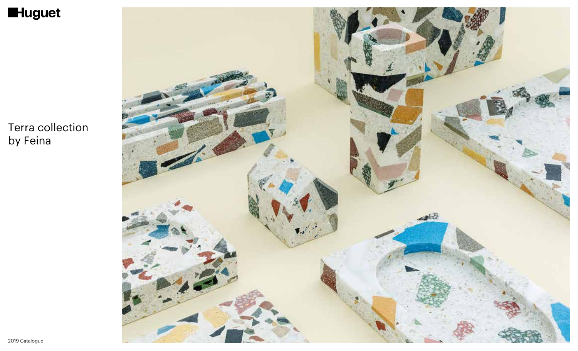

Terra collection by Feina

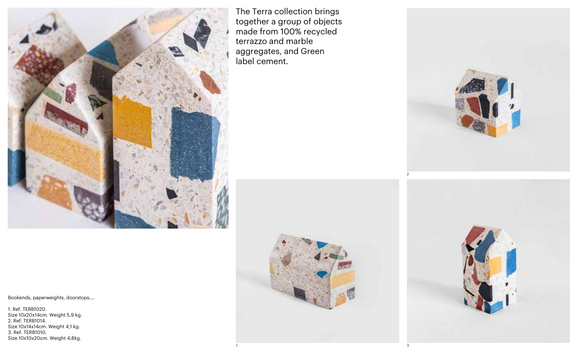

The Terra collection brings together a group of objects made from 100% recycled terrazzo and marble aggregates, and Green label cement.



1  $\sim$  3





Bookends, paperweights, doorstops,...

1. Ref. TERB1020. Size 10x20x14cm. Weight 5,9 kg. 2. Ref. TERB1014. Size 10x14x14cm. Weight 4,1 kg. 3. Ref. TERB1010. Size 10x10x20cm. Weight 4,8kg.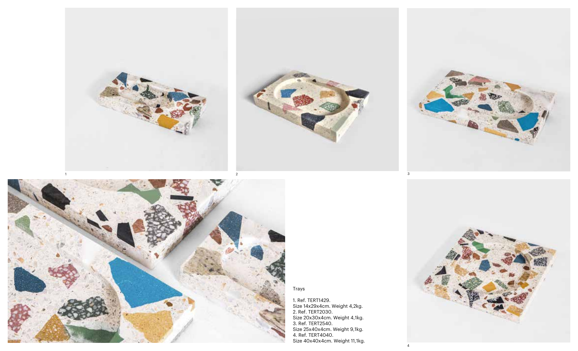



Trays

1. Ref. TERT1429. Size 14x29x4cm. Weight 4,2kg. 2. Ref. TERT2030. Size 20x30x4cm. Weight 4,1kg. 3. Ref. TERT2540. Size 25x40x4cm. Weight 9,1kg. 4. Ref. TERT4040. Size 40x40x4cm. Weight 11,1kg.

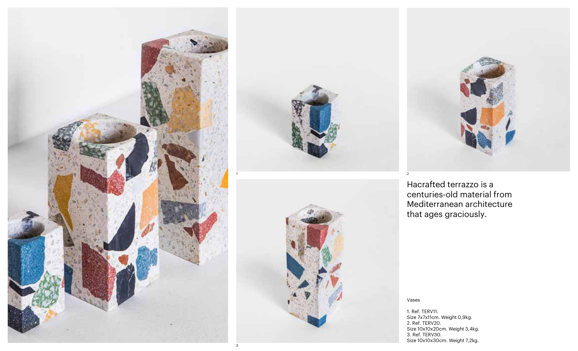![](_page_3_Picture_0.jpeg)

![](_page_3_Picture_1.jpeg)

![](_page_3_Picture_2.jpeg)

![](_page_3_Picture_3.jpeg)

Hacrafted terrazzo is a centuries-old material from Mediterranean architecture that ages graciously.

Vases

1. Ref. TERV11. Size 7x7x11cm. Weight 0,9kg. 2. Ref. TERV20. Size 10x10x20cm. Weight 3,4kg. 3. Ref. TERV30. Size 10x10x30cm. Weight 7,2kg.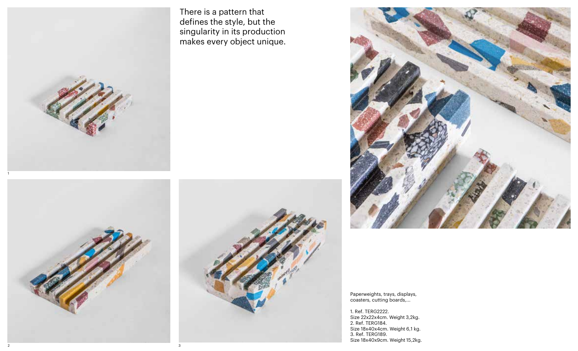![](_page_4_Picture_0.jpeg)

![](_page_4_Picture_1.jpeg)

There is a pattern that defines the style, but the singularity in its production makes every object unique.

![](_page_4_Picture_3.jpeg)

![](_page_4_Picture_4.jpeg)

Paperweights, trays, displays, coasters, cutting boards,...

1. Ref. TERG2222. Size 22x22x4cm. Weight 3,2kg. 2. Ref. TERG184. Size 18x40x4cm. Weight 6,1 kg. 3. Ref. TERG189. Size 18x40x9cm. Weight 15,2kg.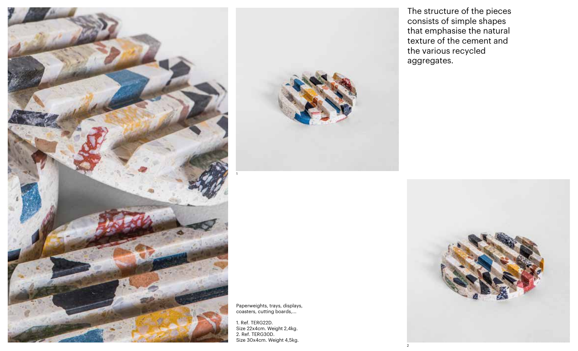![](_page_5_Picture_0.jpeg)

![](_page_5_Picture_1.jpeg)

Paperweights, trays, displays, coasters, cutting boards,...

1

1. Ref. TERG22D. Size 22x4cm. Weight 2,4kg. 2. Ref. TERG30D. Size 30x4cm. Weight 4,5kg. The structure of the pieces consists of simple shapes that emphasise the natural texture of the cement and the various recycled aggregates.

![](_page_5_Picture_5.jpeg)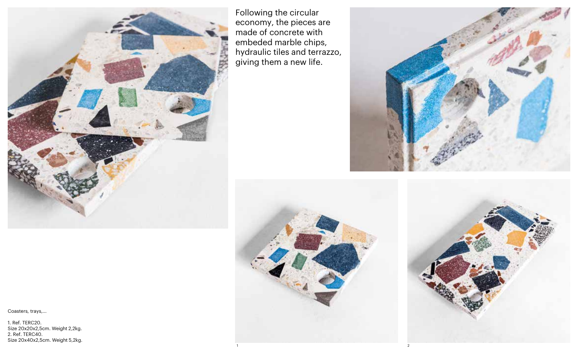![](_page_6_Picture_0.jpeg)

Following the circular economy, the pieces are made of concrete with embeded marble chips, hydraulic tiles and terrazzo, giving them a new life.

![](_page_6_Picture_2.jpeg)

![](_page_6_Picture_3.jpeg)

Coasters, trays,...

1. Ref. TERC20. Size 20x20x2,5cm. Weight 2,2kg. 2. Ref. TERC40. Size 20x40x2,5cm. Weight 5,2kg.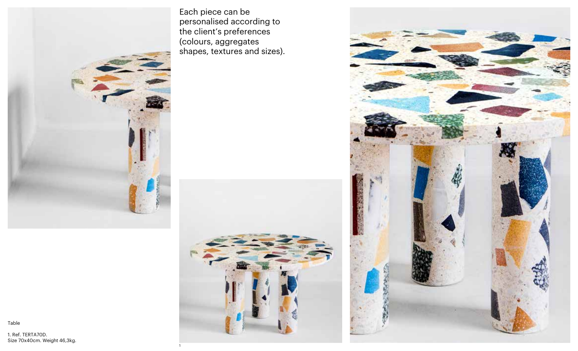![](_page_7_Picture_0.jpeg)

Each piece can be personalised according to the client's preferences (colours, aggregates shapes, textures and sizes).

![](_page_7_Picture_2.jpeg)

1

![](_page_7_Picture_3.jpeg)

1. Ref. TERTA70D. Size 70x40cm. Weight 46,3kg.

Table